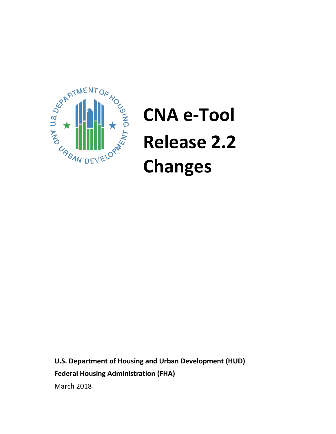

# **CNA e-Tool Release 2.2 Changes**

**U.S. Department of Housing and Urban Development (HUD) Federal Housing Administration (FHA)** March 2018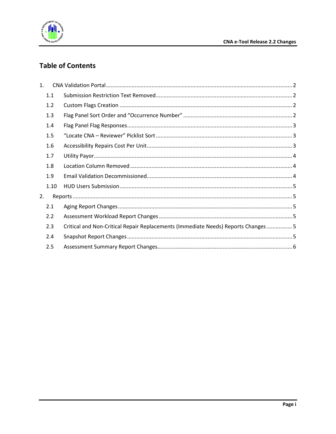

## **Table of Contents**

| 1.   |                                                                                  |
|------|----------------------------------------------------------------------------------|
| 1.1  |                                                                                  |
| 1.2  |                                                                                  |
| 1.3  |                                                                                  |
| 1.4  |                                                                                  |
| 1.5  |                                                                                  |
| 1.6  |                                                                                  |
| 1.7  |                                                                                  |
| 1.8  |                                                                                  |
| 1.9  |                                                                                  |
| 1.10 |                                                                                  |
| 2.   |                                                                                  |
| 2.1  |                                                                                  |
| 2.2  |                                                                                  |
| 2.3  |                                                                                  |
| 2.4  |                                                                                  |
| 2.5  |                                                                                  |
|      | Critical and Non-Critical Repair Replacements (Immediate Needs) Reports Changes5 |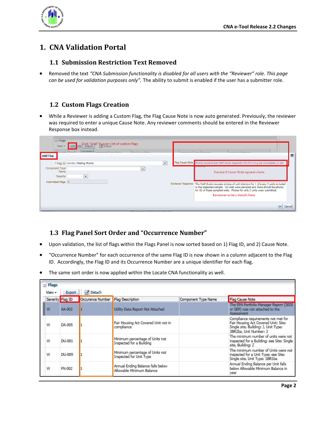

## <span id="page-2-0"></span>**1. CNA Validation Portal**

#### <span id="page-2-1"></span>**1.1 Submission Restriction Text Removed**

• Removed the text *"CNA Submission functionality is disabled for all users with the "Reviewer" role. This page can be used for validation purposes only".* The ability to submit is enabled if the user has a submitter role.

### <span id="page-2-2"></span>**1.2 Custom Flags Creation**

• While a Reviewer is adding a Custom Flag, the Flag Cause Note is now auto generated. Previously, the reviewer was required to enter a unique Cause Note. Any reviewer comments should be entered in the Reviewer Response box instead.

| $\vee$ Flags<br>View $\star$<br>Add Flag | Occurrence Company of Time Magazi<br>وتعاصرها والمستحدث | Click "Add" to open list of custom flags<br>  Export   Mill Detach<br>Floor Corner Made |              | Forester an Original Department<br>Davidsman Davidson<br>$\vert x \vert$                                                                                                                                                                                                                   |  |
|------------------------------------------|---------------------------------------------------------|-----------------------------------------------------------------------------------------|--------------|--------------------------------------------------------------------------------------------------------------------------------------------------------------------------------------------------------------------------------------------------------------------------------------------|--|
|                                          | * Flag ID AA-021 Missing Photos                         |                                                                                         | $\checkmark$ | Flag Cause Note Photos required per MAP Guide Appendix 5G.VII.D.2.g are incomplete or not<br><b><i><u><b>ILLESSEE IS CONTRAS</b></u></i></b>                                                                                                                                               |  |
| Component Type<br>Name                   |                                                         | $\checkmark$                                                                            |              | Standard Cause Note appears here.                                                                                                                                                                                                                                                          |  |
| Severity                                 | $\checkmark$                                            |                                                                                         |              |                                                                                                                                                                                                                                                                                            |  |
| Automated Flags N                        |                                                         |                                                                                         |              | Reviewer Response   The MAP Guide requires photos of unit interiors for 1 of every 5 units included<br>in the inspected sample. 50 units were sampled and there should be photos<br>for 10 of these sampled units. Photos for only 3 units were submitted.<br>Reviewer enters details here |  |
|                                          |                                                         |                                                                                         |              | Cancel                                                                                                                                                                                                                                                                                     |  |

#### <span id="page-2-3"></span>**1.3 Flag Panel Sort Order and "Occurrence Number"**

- Upon validation, the list of flags within the Flags Panel is now sorted based on 1) Flag ID, and 2) Cause Note.
- "Occurrence Number" for each occurrence of the same Flag ID is now shown in a column adjacent to the Flag ID. Accordingly, the Flag ID and its Occurrence Number are a unique identifier for each flag.
- The same sort order is now applied within the Locate CNA functionality as well.

| $\vee$ Flags |                  |                                     |                                                                |                     |                                                                                                                                               |
|--------------|------------------|-------------------------------------|----------------------------------------------------------------|---------------------|-----------------------------------------------------------------------------------------------------------------------------------------------|
| View +       | <b>Export</b>    | <b>Detach</b>                       |                                                                |                     |                                                                                                                                               |
|              | Severity Flag ID | Occurence Number   Flag Description |                                                                | Component Type Name | Flag Cause Note                                                                                                                               |
| w            | AA-002           |                                     | Utility Data Report Not Attached                               |                     | The EPA Portfolio Manager Report (SEDI<br>or SEP) was not attached to the<br>Assessment                                                       |
| W            | DA-005           |                                     | Fair Housing Act Covered Unit not in<br>compliance             |                     | Compliance requirements not met for<br>Fair Housing Act Covered Unit; Site:<br>Single site, Building: J, Unit Type:<br>3BR2ba, Unit Number: 3 |
| w            | DU-001           |                                     | Minimum percentage of Units not<br>Inspected for a Building    |                     | The minimum number of units were not<br>inspected for a Building; see Site: Single<br>site, Building: Z                                       |
| w            | DU-009           |                                     | Minimum percentage of Units not<br>Inspected for Unit Type     |                     | The minimum number of Units were not<br>inspected for a Unit Type; see Site:<br>Single site, Unit Type: 1BR1ba                                |
| W            | FN-002           |                                     | Annual Ending Balance falls below<br>Allowable Minimum Balance |                     | Annual Ending Balance per Unit falls<br>below Allowable Minimum Balance in<br>year                                                            |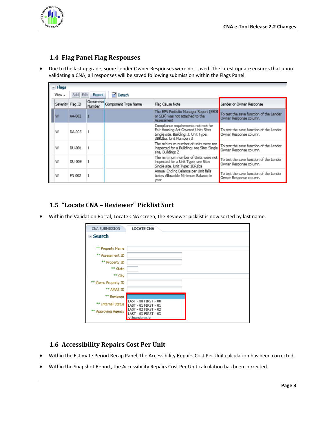

### <span id="page-3-0"></span>**1.4 Flag Panel Flag Responses**

• Due to the last upgrade, some Lender Owner Responses were not saved. The latest update ensures that upon validating a CNA, all responses will be saved following submission within the Flags Panel.

| $~\vee$ Flags                                     |        |  |                                   |                                                                                                                                               |                                                                   |  |  |
|---------------------------------------------------|--------|--|-----------------------------------|-----------------------------------------------------------------------------------------------------------------------------------------------|-------------------------------------------------------------------|--|--|
| <b>Inf</b> Detach<br>Add Edit<br>Export<br>View – |        |  |                                   |                                                                                                                                               |                                                                   |  |  |
| Severity Flag ID                                  |        |  | Occurrence<br>Component Type Name | Flag Cause Note                                                                                                                               | Lender or Owner Response                                          |  |  |
| W                                                 | AA-002 |  |                                   | The EPA Portfolio Manager Report (SEDI<br>or SEP) was not attached to the<br>Assessment                                                       | To test the save function of the Lender<br>Owner Response column. |  |  |
| w                                                 | DA-005 |  |                                   | Compliance requirements not met for<br>Fair Housing Act Covered Unit; Site:<br>Single site, Building: J, Unit Type:<br>3BR2ba, Unit Number: 3 | To test the save function of the Lender<br>Owner Response column. |  |  |
| w                                                 | DU-001 |  |                                   | The minimum number of units were not<br>inspected for a Building; see Site: Single<br>site, Building: Z                                       | To test the save function of the Lender<br>Owner Response column. |  |  |
| W                                                 | DU-009 |  |                                   | The minimum number of Units were not<br>inspected for a Unit Type; see Site:<br>Single site, Unit Type: 1BR1ba                                | To test the save function of the Lender<br>Owner Response column. |  |  |
| W                                                 | FN-002 |  |                                   | Annual Ending Balance per Unit falls<br>below Allowable Minimum Balance in<br>vear                                                            | To test the save function of the Lender<br>Owner Response column. |  |  |

#### <span id="page-3-1"></span>**1.5 "Locate CNA – Reviewer" Picklist Sort**

• Within the Validation Portal, Locate CNA screen, the Reviewer picklist is now sorted by last name.

| CNA SUBMISSION       | <b>LOCATE CNA</b>                            |
|----------------------|----------------------------------------------|
| $\vee$ Search        |                                              |
|                      |                                              |
| ** Property Name     |                                              |
| ** Assessment ID     |                                              |
| ** Property ID       |                                              |
| ** State             |                                              |
| ** City              |                                              |
| ** iRems Property ID |                                              |
| ** AMAS ID           |                                              |
| ** Reviewer          |                                              |
| ** Internal Status   | LAST - 00 FIRST - 00<br>LAST - 01 FIRST - 01 |
| ** Approving Agency  | LAST - 02 FIRST - 02<br>LAST - 03 FIRST - 03 |
|                      | <unassigned></unassigned>                    |

#### <span id="page-3-2"></span>**1.6 Accessibility Repairs Cost Per Unit**

- Within the Estimate Period Recap Panel, the Accessibility Repairs Cost Per Unit calculation has been corrected.
- Within the Snapshot Report, the Accessibility Repairs Cost Per Unit calculation has been corrected.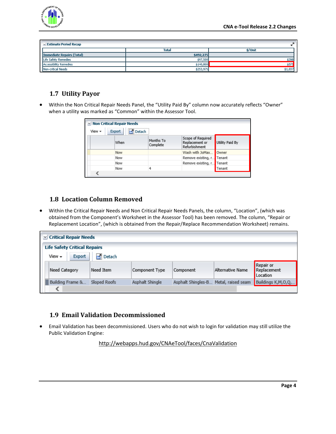

| $\vee$ Estimate Period Recap  |              |         |  |  |  |
|-------------------------------|--------------|---------|--|--|--|
|                               | <b>Total</b> | \$/Unit |  |  |  |
| Immediate Repairs (Total)     | \$492,275    |         |  |  |  |
| Life Safety Remedies          | \$97,500     | \$398   |  |  |  |
| <b>Accessibility Remedies</b> | \$140,800    | \$575   |  |  |  |
| Non-critical Needs            | \$253,975    | \$1,037 |  |  |  |

#### <span id="page-4-0"></span>**1.7 Utility Payor**

• Within the Non Critical Repair Needs Panel, the "Utility Paid By" column now accurately reflects "Owner" when a utility was marked as "Common" within the Assessor Tool.

| V Non Critical Repair Needs<br>Detach<br>View $\star$<br>Export |      |                       |                                                      |                 |  |  |
|-----------------------------------------------------------------|------|-----------------------|------------------------------------------------------|-----------------|--|--|
|                                                                 | When | Months To<br>Complete | Scope of Required<br>Replacement or<br>Refurbishment | Utility Paid By |  |  |
|                                                                 | Now  |                       | Wash with JoMax                                      | Owner           |  |  |
|                                                                 | Now  |                       | Remove existing, r                                   | Tenant          |  |  |
|                                                                 | Now  |                       | Remove existing, r                                   | Tenant          |  |  |
|                                                                 | Now  | 4                     |                                                      | Tenant          |  |  |
|                                                                 |      |                       |                                                      |                 |  |  |

#### <span id="page-4-1"></span>**1.8 Location Column Removed**

• Within the Critical Repair Needs and Non Critical Repair Needs Panels, the column, "Location", (which was obtained from the Component's Worksheet in the Assessor Tool) has been removed. The column, "Repair or Replacement Location", (which is obtained from the Repair/Replace Recommendation Worksheet) remains.

| <b>Critical Repair Needs</b><br>M                                              |              |                 |                    |                    |                                      |
|--------------------------------------------------------------------------------|--------------|-----------------|--------------------|--------------------|--------------------------------------|
| <b>Life Safety Critical Repairs</b><br>Detach<br>View $\star$<br><b>Export</b> |              |                 |                    |                    |                                      |
| Need Category                                                                  | Need Item    | Component Type  | Component          | Alternative Name   | Repair or<br>Replacement<br>Location |
| Building Frame &                                                               | Sloped Roofs | Asphalt Shingle | Asphalt Shingles-B | Metal, raised seam | Buildings K,M,O,Q,                   |
|                                                                                |              |                 |                    |                    |                                      |

#### <span id="page-4-2"></span>**1.9 Email Validation Decommissioned**

• Email Validation has been decommissioned. Users who do not wish to login for validation may still utilize the Public Validation Engine:

<http://webapps.hud.gov/CNAeTool/faces/CnaValidation>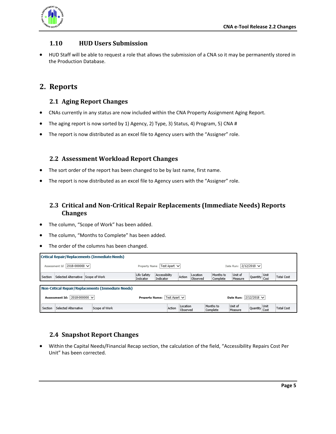

#### <span id="page-5-0"></span>**1.10 HUD Users Submission**

• HUD Staff will be able to request a role that allows the submission of a CNA so it may be permanently stored in the Production Database.

## <span id="page-5-2"></span><span id="page-5-1"></span>**2. Reports**

#### **2.1 Aging Report Changes**

- CNAs currently in any status are now included within the CNA Property Assignment Aging Report.
- The aging report is now sorted by 1) Agency, 2) Type, 3) Status, 4) Program, 5) CNA #
- The report is now distributed as an excel file to Agency users with the "Assigner" role.

#### <span id="page-5-3"></span>**2.2 Assessment Workload Report Changes**

- The sort order of the report has been changed to be by last name, first name.
- The report is now distributed as an excel file to Agency users with the "Assigner" role.

### <span id="page-5-4"></span>**2.3 Critical and Non-Critical Repair Replacements (Immediate Needs) Reports Changes**

- The column, "Scope of Work" has been added.
- The column, "Months to Complete" has been added.
- The order of the columns has been changed.

|                                      | Critical Repair/Replacements (Immediate Needs)     |               |                                       |                            |                      |                               |                       |                    |                    |      |                   |
|--------------------------------------|----------------------------------------------------|---------------|---------------------------------------|----------------------------|----------------------|-------------------------------|-----------------------|--------------------|--------------------|------|-------------------|
| Assessment Id                        | 2018-000000 $\vee$                                 |               | Property Name                         | Test Apart V               |                      |                               |                       | Date Run:          | $2/12/2018$ $\vee$ |      |                   |
| Section                              | Selected Alternative Scope of Work                 |               | Life Safety<br>Indicator              | Accessibility<br>Indicator | Action               | Location<br>Observed          | Months to<br>Complete | Unit of<br>Measure | Quantity Cost      | Unit | <b>Total Cost</b> |
|                                      | Non-Critical Repair/Replacements (Immediate Needs) |               |                                       |                            |                      |                               |                       |                    |                    |      |                   |
| 2018-000000 $\vee$<br>Assessment Id: |                                                    |               | Test Apart V<br><b>Property Name:</b> |                            |                      | Date Run: $ 2/12/2018 \nabla$ |                       |                    |                    |      |                   |
| Section                              | Selected Alternative                               | Scope of Work |                                       | Action                     | Location<br>Observed |                               | Months to<br>Complete | Unit of<br>Measure | Quantity Cost      | Unit | <b>Total Cost</b> |

#### <span id="page-5-5"></span>**2.4 Snapshot Report Changes**

• Within the Capital Needs/Financial Recap section, the calculation of the field, "Accessibility Repairs Cost Per Unit" has been corrected.